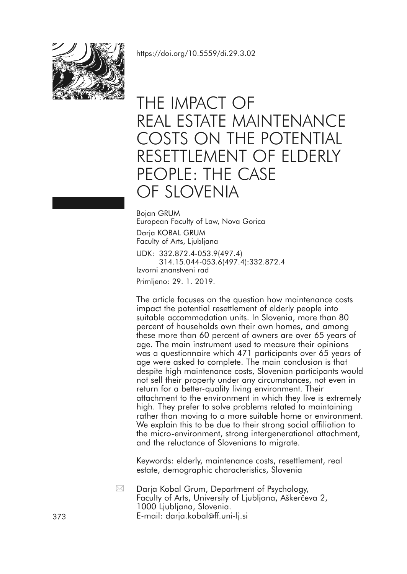<https://doi.org/10.5559/di.29.3.02>



# THE IMPACT OF REAL ESTATE MAINTENANCE COSTS ON THE POTENTIAL RESETTLEMENT OF ELDERLY PEOPLE: THE CASE OF SLOVENIA

Bojan GRUM European Faculty of Law, Nova Gorica Darja KOBAL GRUM Faculty of Arts, Ljubljana UDK: 332.872.4-053.9(497.4)

314.15.044-053.6(497.4):332.872.4 Izvorni znanstveni rad

Primljeno: 29. 1. 2019.

The article focuses on the question how maintenance costs impact the potential resettlement of elderly people into suitable accommodation units. In Slovenia, more than 80 percent of households own their own homes, and among these more than 60 percent of owners are over 65 years of age. The main instrument used to measure their opinions was a questionnaire which 471 participants over 65 years of age were asked to complete. The main conclusion is that despite high maintenance costs, Slovenian participants would not sell their property under any circumstances, not even in return for a better-quality living environment. Their attachment to the environment in which they live is extremely high. They prefer to solve problems related to maintaining rather than moving to a more suitable home or environment. We explain this to be due to their strong social affiliation to the micro-environment, strong intergenerational attachment, and the reluctance of Slovenians to migrate.

Keywords: elderly, maintenance costs, resettlement, real estate, demographic characteristics, Slovenia

Darja Kobal Grum, Department of Psychology, Faculty of Arts, University of Ljubljana, Aškerčeva 2, 1000 Ljubljana, Slovenia. 373 E-mail: darja.kobal@ff.uni-lj.si  $\boxtimes$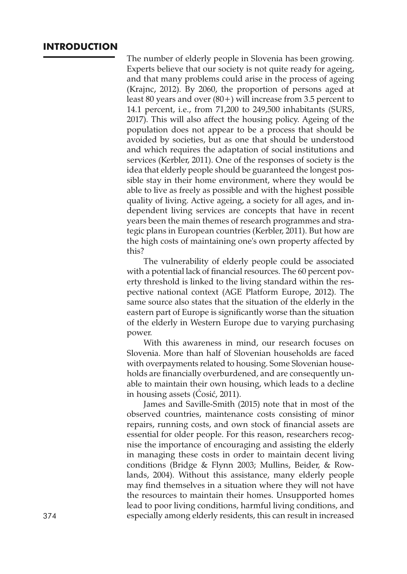# **INTRODUCTION**

The number of elderly people in Slovenia has been growing. Experts believe that our society is not quite ready for ageing, and that many problems could arise in the process of ageing (Krajnc, 2012). By 2060, the proportion of persons aged at least 80 years and over (80+) will increase from 3.5 percent to 14.1 percent, i.e., from 71,200 to 249,500 inhabitants (SURS, 2017). This will also affect the housing policy. Ageing of the population does not appear to be a process that should be avoided by societies, but as one that should be understood and which requires the adaptation of social institutions and services (Kerbler, 2011). One of the responses of society is the idea that elderly people should be guaranteed the longest possible stay in their home environment, where they would be able to live as freely as possible and with the highest possible quality of living. Active ageing, a society for all ages, and independent living services are concepts that have in recent years been the main themes of research programmes and strategic plans in European countries (Kerbler, 2011). But how are the high costs of maintaining one's own property affected by this?

The vulnerability of elderly people could be associated with a potential lack of financial resources. The 60 percent poverty threshold is linked to the living standard within the respective national context (AGE Platform Europe, 2012). The same source also states that the situation of the elderly in the eastern part of Europe is significantly worse than the situation of the elderly in Western Europe due to varying purchasing power.

With this awareness in mind, our research focuses on Slovenia. More than half of Slovenian households are faced with overpayments related to housing. Some Slovenian households are financially overburdened, and are consequently unable to maintain their own housing, which leads to a decline in housing assets (Ćosić, 2011).

James and Saville-Smith (2015) note that in most of the observed countries, maintenance costs consisting of minor repairs, running costs, and own stock of financial assets are essential for older people. For this reason, researchers recognise the importance of encouraging and assisting the elderly in managing these costs in order to maintain decent living conditions (Bridge & Flynn 2003; Mullins, Beider, & Rowlands, 2004). Without this assistance, many elderly people may find themselves in a situation where they will not have the resources to maintain their homes. Unsupported homes lead to poor living conditions, harmful living conditions, and 374 especially among elderly residents, this can result in increased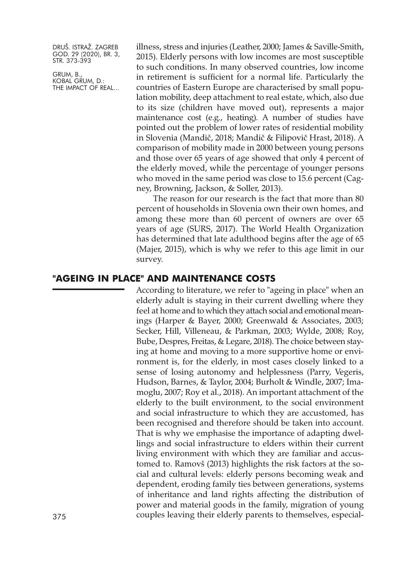GRUM, B., KOBAL GRUM, D.: THE IMPACT OF REAL... illness, stress and injuries (Leather, 2000; James & Saville-Smith, 2015). Elderly persons with low incomes are most susceptible to such conditions. In many observed countries, low income in retirement is sufficient for a normal life. Particularly the countries of Eastern Europe are characterised by small population mobility, deep attachment to real estate, which, also due to its size (children have moved out), represents a major maintenance cost (e.g., heating). A number of studies have pointed out the problem of lower rates of residential mobility in Slovenia (Mandič, 2018; Mandič & Filipovič Hrast, 2018). A comparison of mobility made in 2000 between young persons and those over 65 years of age showed that only 4 percent of the elderly moved, while the percentage of younger persons who moved in the same period was close to 15.6 percent (Cagney, Browning, Jackson, & Soller, 2013).

The reason for our research is the fact that more than 80 percent of households in Slovenia own their own homes, and among these more than 60 percent of owners are over 65 years of age (SURS, 2017). The World Health Organization has determined that late adulthood begins after the age of 65 (Majer, 2015), which is why we refer to this age limit in our survey.

## **"AGEING IN PLACE" AND MAINTENANCE COSTS**

According to literature, we refer to "ageing in place" when an elderly adult is staying in their current dwelling where they feel at home and to which they attach social and emotional meanings (Harper & Bayer, 2000; Greenwald & Associates, 2003; Secker, Hill, Villeneau, & Parkman, 2003; Wylde, 2008; Roy, Bube, Despres, Freitas, & Legare, 2018). The choice between staying at home and moving to a more supportive home or environment is, for the elderly, in most cases closely linked to a sense of losing autonomy and helplessness (Parry, Vegeris, Hudson, Barnes, & Taylor, 2004; Burholt & Windle, 2007; Imamoglu, 2007; Roy et al., 2018). An important attachment of the elderly to the built environment, to the social environment and social infrastructure to which they are accustomed, has been recognised and therefore should be taken into account. That is why we emphasise the importance of adapting dwellings and social infrastructure to elders within their current living environment with which they are familiar and accustomed to. Ramovš (2013) highlights the risk factors at the social and cultural levels: elderly persons becoming weak and dependent, eroding family ties between generations, systems of inheritance and land rights affecting the distribution of power and material goods in the family, migration of young 375 couples leaving their elderly parents to themselves, especial-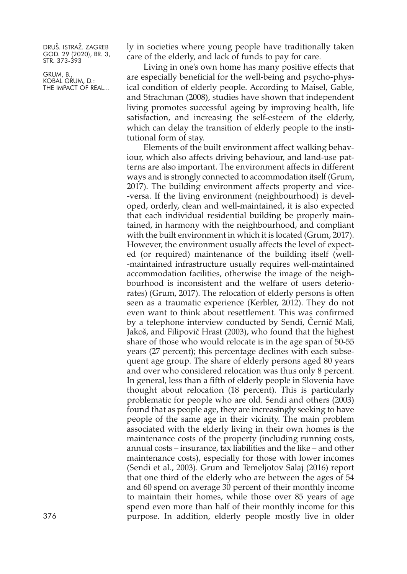GRUM, B., KOBAL GRUM, D.: THE IMPACT OF REAL... ly in societies where young people have traditionally taken care of the elderly, and lack of funds to pay for care.

Living in one's own home has many positive effects that are especially beneficial for the well-being and psycho-physical condition of elderly people. According to Maisel, Gable, and Strachman (2008), studies have shown that independent living promotes successful ageing by improving health, life satisfaction, and increasing the self-esteem of the elderly, which can delay the transition of elderly people to the institutional form of stay.

Elements of the built environment affect walking behaviour, which also affects driving behaviour, and land-use patterns are also important. The environment affects in different ways and is strongly connected to accommodation itself (Grum, 2017). The building environment affects property and vice- -versa. If the living environment (neighbourhood) is developed, orderly, clean and well-maintained, it is also expected that each individual residential building be properly maintained, in harmony with the neighbourhood, and compliant with the built environment in which it is located (Grum, 2017). However, the environment usually affects the level of expected (or required) maintenance of the building itself (well- -maintained infrastructure usually requires well-maintained accommodation facilities, otherwise the image of the neighbourhood is inconsistent and the welfare of users deteriorates) (Grum, 2017). The relocation of elderly persons is often seen as a traumatic experience (Kerbler, 2012). They do not even want to think about resettlement. This was confirmed by a telephone interview conducted by Sendi, Černič Mali, Jakoš, and Filipovič Hrast (2003), who found that the highest share of those who would relocate is in the age span of 50-55 years (27 percent); this percentage declines with each subsequent age group. The share of elderly persons aged 80 years and over who considered relocation was thus only 8 percent. In general, less than a fifth of elderly people in Slovenia have thought about relocation (18 percent). This is particularly problematic for people who are old. Sendi and others (2003) found that as people age, they are increasingly seeking to have people of the same age in their vicinity. The main problem associated with the elderly living in their own homes is the maintenance costs of the property (including running costs, annual costs – insurance, tax liabilities and the like – and other maintenance costs), especially for those with lower incomes (Sendi et al., 2003). Grum and Temeljotov Salaj (2016) report that one third of the elderly who are between the ages of 54 and 60 spend on average 30 percent of their monthly income to maintain their homes, while those over 85 years of age spend even more than half of their monthly income for this 376 purpose. In addition, elderly people mostly live in older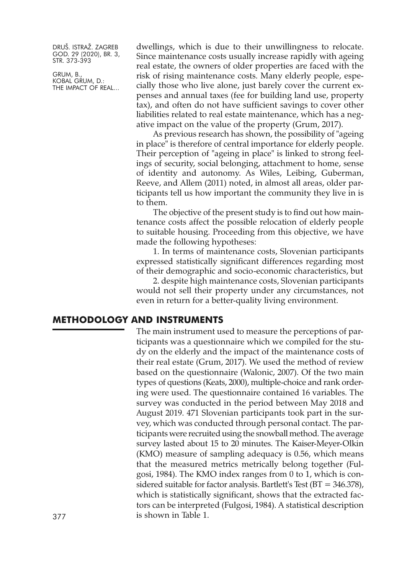GRUM, B., KOBAL GRUM, D.: THE IMPACT OF REAL... dwellings, which is due to their unwillingness to relocate. Since maintenance costs usually increase rapidly with ageing real estate, the owners of older properties are faced with the risk of rising maintenance costs. Many elderly people, especially those who live alone, just barely cover the current expenses and annual taxes (fee for building land use, property tax), and often do not have sufficient savings to cover other liabilities related to real estate maintenance, which has a negative impact on the value of the property (Grum, 2017).

As previous research has shown, the possibility of "ageing in place" is therefore of central importance for elderly people. Their perception of "ageing in place" is linked to strong feelings of security, social belonging, attachment to home, sense of identity and autonomy. As Wiles, Leibing, Guberman, Reeve, and Allem (2011) noted, in almost all areas, older participants tell us how important the community they live in is to them.

The objective of the present study is to find out how maintenance costs affect the possible relocation of elderly people to suitable housing. Proceeding from this objective, we have made the following hypotheses:

1. In terms of maintenance costs, Slovenian participants expressed statistically significant differences regarding most of their demographic and socio-economic characteristics, but

2. despite high maintenance costs, Slovenian participants would not sell their property under any circumstances, not even in return for a better-quality living environment.

# **METHODOLOGY AND INSTRUMENTS**

The main instrument used to measure the perceptions of participants was a questionnaire which we compiled for the study on the elderly and the impact of the maintenance costs of their real estate (Grum, 2017). We used the method of review based on the questionnaire (Walonic, 2007). Of the two main types of questions (Keats, 2000), multiple-choice and rank ordering were used. The questionnaire contained 16 variables. The survey was conducted in the period between May 2018 and August 2019. 471 Slovenian participants took part in the survey, which was conducted through personal contact. The participants were recruited using the snowball method. The average survey lasted about 15 to 20 minutes. The Kaiser-Meyer-Olkin (KMO) measure of sampling adequacy is 0.56, which means that the measured metrics metrically belong together (Fulgosi, 1984). The KMO index ranges from 0 to 1, which is considered suitable for factor analysis. Bartlett's Test (BT = 346.378), which is statistically significant, shows that the extracted factors can be interpreted (Fulgosi, 1984). A statistical description 377 is shown in Table 1.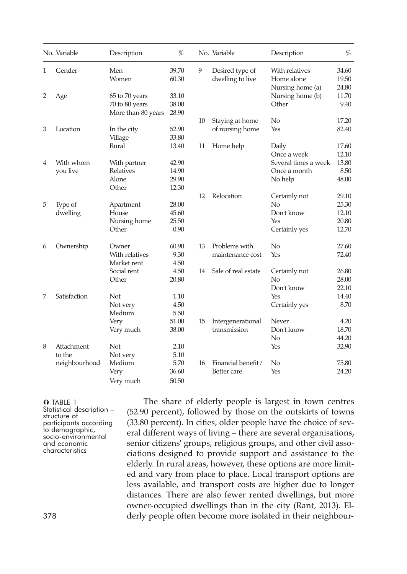|   | No. Variable  | Description        | $\%$  |    | No. Variable        | Description          | %     |
|---|---------------|--------------------|-------|----|---------------------|----------------------|-------|
| 1 | Gender        | Men                | 39.70 | 9  | Desired type of     | With relatives       | 34.60 |
|   |               | Women              | 60.30 |    | dwelling to live    | Home alone           | 19.50 |
|   |               |                    |       |    |                     | Nursing home (a)     | 24.80 |
| 2 | Age           | 65 to 70 years     | 33.10 |    |                     | Nursing home (b)     | 11.70 |
|   |               | 70 to 80 years     | 38.00 |    |                     | Other                | 9.40  |
|   |               | More than 80 years | 28.90 |    |                     |                      |       |
|   |               |                    |       | 10 | Staying at home     | No                   | 17.20 |
| 3 | Location      | In the city        | 52.90 |    | of nursing home     | Yes                  | 82.40 |
|   |               | Village            | 33.80 |    |                     |                      |       |
|   |               | Rural              | 13.40 | 11 | Home help           | Daily                | 17.60 |
|   |               |                    |       |    |                     | Once a week          | 12.10 |
| 4 | With whom     | With partner       | 42.90 |    |                     | Several times a week | 13.80 |
|   | you live      | Relatives          | 14.90 |    |                     | Once a month         | 8.50  |
|   |               | Alone              | 29.90 |    |                     | No help              | 48.00 |
|   |               | Other              | 12.30 |    |                     |                      |       |
|   |               |                    |       | 12 | Relocation          | Certainly not        | 29.10 |
| 5 | Type of       | Apartment          | 28.00 |    |                     | No                   | 25.30 |
|   | dwelling      | House              | 45.60 |    |                     | Don't know           | 12.10 |
|   |               | Nursing home       | 25.50 |    |                     | Yes                  | 20.80 |
|   |               | Other              | 0.90  |    |                     | Certainly yes        | 12.70 |
| 6 | Ownership     | Owner              | 60.90 | 13 | Problems with       | No                   | 27.60 |
|   |               | With relatives     | 9.30  |    | maintenance cost    | Yes                  | 72.40 |
|   |               | Market rent        | 4.50  |    |                     |                      |       |
|   |               | Social rent        | 4.50  | 14 | Sale of real estate | Certainly not        | 26.80 |
|   |               | Other              | 20.80 |    |                     | No                   | 28.00 |
|   |               |                    |       |    |                     | Don't know           | 22.10 |
| 7 | Satisfaction  | Not                | 1.10  |    |                     | Yes                  | 14.40 |
|   |               | Not very           | 4.50  |    |                     | Certainly yes        | 8.70  |
|   |               | Medium             | 5.50  |    |                     |                      |       |
|   |               | Very               | 51.00 | 15 | Intergenerational   | Never                | 4.20  |
|   |               | Very much          | 38.00 |    | transmission        | Don't know           | 18.70 |
|   |               |                    |       |    |                     | No                   | 44.20 |
| 8 | Attachment    | Not                | 2.10  |    |                     | Yes                  | 32.90 |
|   | to the        | Not very           | 5.10  |    |                     |                      |       |
|   | neighbourhood | Medium             | 5.70  | 16 | Financial benefit / | $\rm No$             | 75.80 |
|   |               | Very               | 36.60 |    | Better care         | Yes                  | 24.20 |
|   |               | Very much          | 50.50 |    |                     |                      |       |
|   |               |                    |       |    |                     |                      |       |

 $\Omega$  Table 1 Statistical description – structure of participants according<br>to demographic, socio-environmental<br>and economic<br>characteristics

The share of elderly people is largest in town centres (52.90 percent), followed by those on the outskirts of towns (33.80 percent). In cities, older people have the choice of several different ways of living – there are several organisations, senior citizens' groups, religious groups, and other civil associations designed to provide support and assistance to the elderly. In rural areas, however, these options are more limited and vary from place to place. Local transport options are less available, and transport costs are higher due to longer distances. There are also fewer rented dwellings, but more owner-occupied dwellings than in the city (Rant, 2013). El-378 derly people often become more isolated in their neighbour-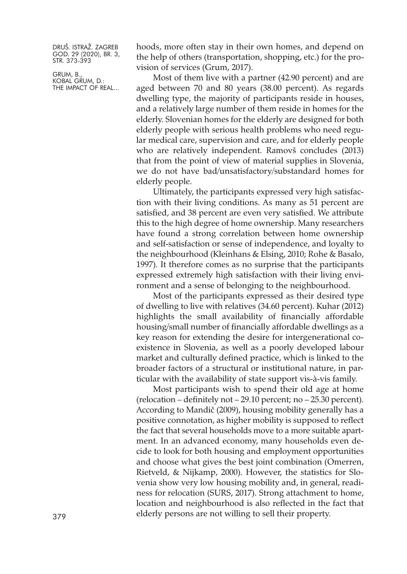GRUM, B., KOBAL GRUM, D.: THE IMPACT OF REAL... hoods, more often stay in their own homes, and depend on the help of others (transportation, shopping, etc.) for the provision of services (Grum, 2017).

Most of them live with a partner (42.90 percent) and are aged between 70 and 80 years (38.00 percent). As regards dwelling type, the majority of participants reside in houses, and a relatively large number of them reside in homes for the elderly. Slovenian homes for the elderly are designed for both elderly people with serious health problems who need regular medical care, supervision and care, and for elderly people who are relatively independent. Ramovš concludes (2013) that from the point of view of material supplies in Slovenia, we do not have bad/unsatisfactory/substandard homes for elderly people.

Ultimately, the participants expressed very high satisfaction with their living conditions. As many as 51 percent are satisfied, and 38 percent are even very satisfied. We attribute this to the high degree of home ownership. Many researchers have found a strong correlation between home ownership and self-satisfaction or sense of independence, and loyalty to the neighbourhood (Kleinhans & Elsing, 2010; Rohe & Basalo, 1997). It therefore comes as no surprise that the participants expressed extremely high satisfaction with their living environment and a sense of belonging to the neighbourhood.

Most of the participants expressed as their desired type of dwelling to live with relatives (34.60 percent). Kuhar (2012) highlights the small availability of financially affordable housing/small number of financially affordable dwellings as a key reason for extending the desire for intergenerational coexistence in Slovenia, as well as a poorly developed labour market and culturally defined practice, which is linked to the broader factors of a structural or institutional nature, in particular with the availability of state support vis-à-vis family.

Most participants wish to spend their old age at home (relocation – definitely not – 29.10 percent; no – 25.30 percent). According to Mandič (2009), housing mobility generally has a positive connotation, as higher mobility is supposed to reflect the fact that several households move to a more suitable apartment. In an advanced economy, many households even decide to look for both housing and employment opportunities and choose what gives the best joint combination (Omerren, Rietveld, & Nijkamp, 2000). However, the statistics for Slovenia show very low housing mobility and, in general, readiness for relocation (SURS, 2017). Strong attachment to home, location and neighbourhood is also reflected in the fact that elderly persons are not willing to sell their property. <sup>379</sup>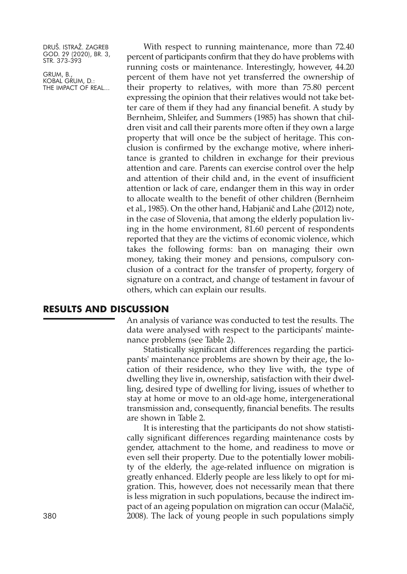GRUM, B., KOBAL GRUM, D.: THE IMPACT OF REAL...

With respect to running maintenance, more than 72.40 percent of participants confirm that they do have problems with running costs or maintenance. Interestingly, however, 44.20 percent of them have not yet transferred the ownership of their property to relatives, with more than 75.80 percent expressing the opinion that their relatives would not take better care of them if they had any financial benefit. A study by Bernheim, Shleifer, and Summers (1985) has shown that children visit and call their parents more often if they own a large property that will once be the subject of heritage. This conclusion is confirmed by the exchange motive, where inheritance is granted to children in exchange for their previous attention and care. Parents can exercise control over the help and attention of their child and, in the event of insufficient attention or lack of care, endanger them in this way in order to allocate wealth to the benefit of other children (Bernheim et al., 1985). On the other hand, Habjanič and Lahe (2012) note, in the case of Slovenia, that among the elderly population living in the home environment, 81.60 percent of respondents reported that they are the victims of economic violence, which takes the following forms: ban on managing their own money, taking their money and pensions, compulsory conclusion of a contract for the transfer of property, forgery of signature on a contract, and change of testament in favour of others, which can explain our results.

## **RESULTS AND DISCUSSION**

An analysis of variance was conducted to test the results. The data were analysed with respect to the participants' maintenance problems (see Table 2).

Statistically significant differences regarding the participants' maintenance problems are shown by their age, the location of their residence, who they live with, the type of dwelling they live in, ownership, satisfaction with their dwelling, desired type of dwelling for living, issues of whether to stay at home or move to an old-age home, intergenerational transmission and, consequently, financial benefits. The results are shown in Table 2.

It is interesting that the participants do not show statistically significant differences regarding maintenance costs by gender, attachment to the home, and readiness to move or even sell their property. Due to the potentially lower mobility of the elderly, the age-related influence on migration is greatly enhanced. Elderly people are less likely to opt for migration. This, however, does not necessarily mean that there is less migration in such populations, because the indirect impact of an ageing population on migration can occur (Malačič, 380 2008). The lack of young people in such populations simply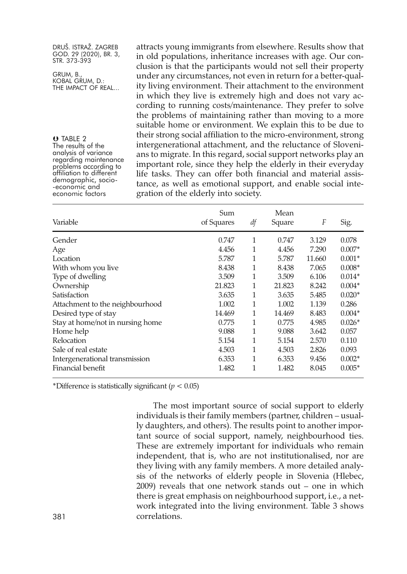GRUM, B., KOBAL GRUM, D.: THE IMPACT OF REAL...

**O** TABLE 2<br>The results of the analysis of variance<br>regarding maintenance<br>problems according to<br>affiliation to different demographic, socio- -economic and economic factors

attracts young immigrants from elsewhere. Results show that in old populations, inheritance increases with age. Our conclusion is that the participants would not sell their property under any circumstances, not even in return for a better-quality living environment. Their attachment to the environment in which they live is extremely high and does not vary according to running costs/maintenance. They prefer to solve the problems of maintaining rather than moving to a more suitable home or environment. We explain this to be due to their strong social affiliation to the micro-environment, strong intergenerational attachment, and the reluctance of Slovenians to migrate. In this regard, social support networks play an important role, since they help the elderly in their everyday life tasks. They can offer both financial and material assistance, as well as emotional support, and enable social integration of the elderly into society.

| Variable                         | Sum<br>of Squares | df | Mean<br>Square | F      | Sig.     |
|----------------------------------|-------------------|----|----------------|--------|----------|
| Gender                           | 0.747             | 1  | 0.747          | 3.129  | 0.078    |
| Age                              | 4.456             | 1  | 4.456          | 7.290  | $0.007*$ |
| Location                         | 5.787             | 1  | 5.787          | 11.660 | $0.001*$ |
| With whom you live               | 8.438             | 1  | 8.438          | 7.065  | $0.008*$ |
| Type of dwelling                 | 3.509             | 1  | 3.509          | 6.106  | $0.014*$ |
| Ownership                        | 21.823            | 1  | 21.823         | 8.242  | $0.004*$ |
| Satisfaction                     | 3.635             | 1  | 3.635          | 5.485  | $0.020*$ |
| Attachment to the neighbourhood  | 1.002             | 1  | 1.002          | 1.139  | 0.286    |
| Desired type of stay             | 14.469            | 1  | 14.469         | 8.483  | $0.004*$ |
| Stay at home/not in nursing home | 0.775             | 1  | 0.775          | 4.985  | $0.026*$ |
| Home help                        | 9.088             | 1  | 9.088          | 3.642  | 0.057    |
| Relocation                       | 5.154             | 1  | 5.154          | 2.570  | 0.110    |
| Sale of real estate              | 4.503             | 1  | 4.503          | 2.826  | 0.093    |
| Intergenerational transmission   | 6.353             | 1  | 6.353          | 9.456  | $0.002*$ |
| Financial benefit                | 1.482             | 1  | 1.482          | 8.045  | $0.005*$ |

\*Difference is statistically significant (*p <* 0.05)

The most important source of social support to elderly individuals is their family members (partner, children – usually daughters, and others). The results point to another important source of social support, namely, neighbourhood ties. These are extremely important for individuals who remain independent, that is, who are not institutionalised, nor are they living with any family members. A more detailed analysis of the networks of elderly people in Slovenia (Hlebec, 2009) reveals that one network stands out – one in which there is great emphasis on neighbourhood support, i.e., a network integrated into the living environment. Table 3 shows 381 correlations.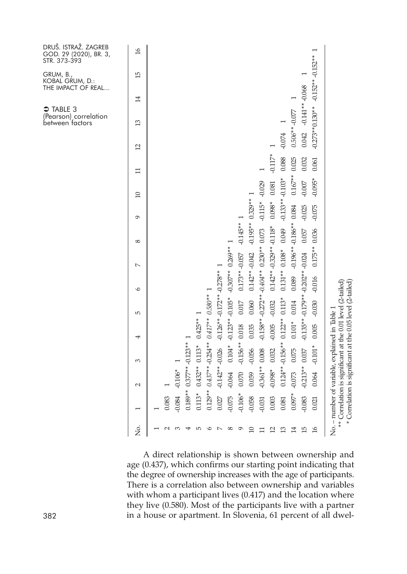|                |                                                                                                                                                                      |                         |                  |            |                                            |          |                          |             |                   |                 |           |                 | → TABLE 3<br>(Pearson) correlation<br>between factors | GRUM, B.,<br>KOBAL GRUM, D.:<br>THE IMPACT OF REAL | DRUŠ. ISTRAŽ. ZAGREB<br>GOD. 29 (2020), BR. 3,<br>STR. 373-393 |
|----------------|----------------------------------------------------------------------------------------------------------------------------------------------------------------------|-------------------------|------------------|------------|--------------------------------------------|----------|--------------------------|-------------|-------------------|-----------------|-----------|-----------------|-------------------------------------------------------|----------------------------------------------------|----------------------------------------------------------------|
| ,<br>Ž         | $\overline{\phantom{0}}$                                                                                                                                             | $\mathcal{L}$           | 3                | 4          | 5                                          | $\circ$  | $\overline{a}$           | 8           | $\sigma$          | $\overline{10}$ | ロ         | $\overline{12}$ | 13                                                    | 15<br>14                                           | $\overline{16}$                                                |
|                |                                                                                                                                                                      |                         |                  |            |                                            |          |                          |             |                   |                 |           |                 |                                                       |                                                    |                                                                |
| $\sim$         | 0.083                                                                                                                                                                |                         |                  |            |                                            |          |                          |             |                   |                 |           |                 |                                                       |                                                    |                                                                |
| ∞              | $-0.084$                                                                                                                                                             | $-0.106*$               |                  |            |                                            |          |                          |             |                   |                 |           |                 |                                                       |                                                    |                                                                |
| ₩              |                                                                                                                                                                      | $0.189**0.377**0.123**$ |                  |            |                                            |          |                          |             |                   |                 |           |                 |                                                       |                                                    |                                                                |
| 5              | $0.113*$                                                                                                                                                             |                         | $0.432**0.113*$  | $0.425**$  |                                            |          |                          |             |                   |                 |           |                 |                                                       |                                                    |                                                                |
| $\circ$        | $0.129**$                                                                                                                                                            |                         |                  |            | $0.437**$ $-0.254**$ $0.417**$ $0.580**$ 1 |          |                          |             |                   |                 |           |                 |                                                       |                                                    |                                                                |
| $\sim$         | 0.027                                                                                                                                                                |                         | $-0.142**-0.026$ |            | $-0.126**$ $-0.172**$ $-0.278**$           |          |                          |             |                   |                 |           |                 |                                                       |                                                    |                                                                |
| ${}^{\circ}$   | $-0.075$                                                                                                                                                             | $-0.064$                | $0.104*$         |            | $-0.123**-0.105*$                          |          | $-0.307**0.269**1$       |             |                   |                 |           |                 |                                                       |                                                    |                                                                |
| $\sigma$       | $-0.106*$                                                                                                                                                            | 0.070                   | $-0.156**$       | 0.018      | 0.017                                      |          | $0.173**-0.057$          | $-0.145**1$ |                   |                 |           |                 |                                                       |                                                    |                                                                |
| $\supseteq$    | $-0.058$                                                                                                                                                             | 0.059                   | $-0.056$         | 0.035      | 0.060                                      |          | $0.142**-0.042$          |             | $-0.195**0.329**$ |                 |           |                 |                                                       |                                                    |                                                                |
| Ξ              | $-0.031$                                                                                                                                                             | $0.361**$               | 0.008            | $-0.158**$ | $-0.272**$                                 |          | $-0.404**0.230**$        | 0.073       | $-0.115*$         | $-0.029$        |           |                 |                                                       |                                                    |                                                                |
| ⊴              | 0.003                                                                                                                                                                | $-0.098*$               | 0.032            | $-0.005$   | $-0.032$                                   |          | $0.142**-0.329**-0.118*$ |             | $0.098*$          | 0.081           | $-0.117*$ |                 |                                                       |                                                    |                                                                |
| ≌              | 0.081                                                                                                                                                                | $0.124**$               | $-0.156**$       | $0.122**$  | $0.113*$                                   |          | $0.131**0.108*$          | 0.049       | $-0.133**$        | $-0.103*$       | 0.088     | $-0.074$        |                                                       |                                                    |                                                                |
| $\vec{1}$      | $0.097*$                                                                                                                                                             | $-0.073$                | 0.075            | $0.101*$   | 0.014                                      | 0.089    | $-0.196**$               | $-0.186**$  | 0.084             | $0.167**$       | 0.025     |                 | $0.506**0.077$                                        |                                                    |                                                                |
| 15             | $-0.083$                                                                                                                                                             | $-0.213**$              | 0.037            | $-0.135**$ | $-0.179**$                                 |          | $-0.202**-0.024$         | 0.057       | $-0.025$          | $-0.007$        | 0.032     | 0.042           | $-0.141**-0.068$                                      |                                                    |                                                                |
| $\frac{1}{6}$  | 0.021                                                                                                                                                                | 0.064                   | $-0.101$         | 0.005      | $-0.030$                                   | $-0.016$ | $0.175**$                | 0.036       | $-0.075$          | $-0.095*$       | 0.061     |                 | $-0.273**0.130**$                                     | $-0.152**-0.152**$                                 |                                                                |
| $\star$<br>$*$ | Correlation is significant at the 0.01 level (2-tailed)<br>Correlation is significant at the 0.05 level (2-tailed)<br>No. - number of variable, explained in Table 1 |                         |                  |            |                                            |          |                          |             |                   |                 |           |                 |                                                       |                                                    |                                                                |
|                |                                                                                                                                                                      |                         |                  |            |                                            |          |                          |             |                   |                 |           |                 |                                                       |                                                    |                                                                |

A direct relationship is shown between ownership and age (0.437), which confirms our starting point indicating that the degree of ownership increases with the age of participants. There is a correlation also between ownership and variables with whom a participant lives (0.417) and the location where they live (0.580). Most of the participants live with a partner 382 in a house or apartment. In Slovenia, 61 percent of all dwel-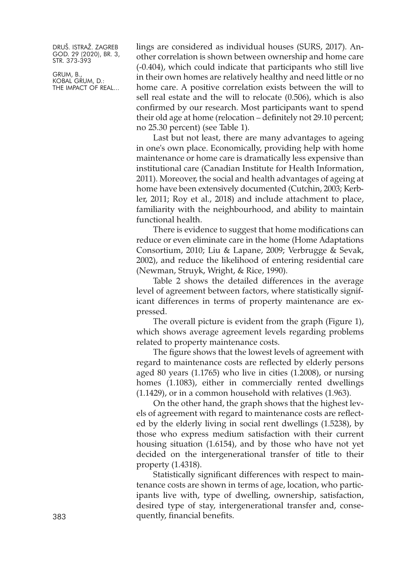GRUM, B., KOBAL GRUM, D.: THE IMPACT OF REAL... lings are considered as individual houses (SURS, 2017). Another correlation is shown between ownership and home care (-0.404), which could indicate that participants who still live in their own homes are relatively healthy and need little or no home care. A positive correlation exists between the will to sell real estate and the will to relocate (0.506), which is also confirmed by our research. Most participants want to spend their old age at home (relocation – definitely not 29.10 percent; no 25.30 percent) (see Table 1).

Last but not least, there are many advantages to ageing in one's own place. Economically, providing help with home maintenance or home care is dramatically less expensive than institutional care (Canadian Institute for Health Information, 2011). Moreover, the social and health advantages of ageing at home have been extensively documented (Cutchin, 2003; Kerbler, 2011; Roy et al., 2018) and include attachment to place, familiarity with the neighbourhood, and ability to maintain functional health.

There is evidence to suggest that home modifications can reduce or even eliminate care in the home (Home Adaptations Consortium, 2010; Liu & Lapane, 2009; Verbrugge & Sevak, 2002), and reduce the likelihood of entering residential care (Newman, Struyk, Wright, & Rice, 1990).

Table 2 shows the detailed differences in the average level of agreement between factors, where statistically significant differences in terms of property maintenance are expressed.

The overall picture is evident from the graph (Figure 1), which shows average agreement levels regarding problems related to property maintenance costs.

The figure shows that the lowest levels of agreement with regard to maintenance costs are reflected by elderly persons aged 80 years (1.1765) who live in cities (1.2008), or nursing homes (1.1083), either in commercially rented dwellings (1.1429), or in a common household with relatives (1.963).

On the other hand, the graph shows that the highest levels of agreement with regard to maintenance costs are reflected by the elderly living in social rent dwellings (1.5238), by those who express medium satisfaction with their current housing situation (1.6154), and by those who have not yet decided on the intergenerational transfer of title to their property (1.4318).

Statistically significant differences with respect to maintenance costs are shown in terms of age, location, who participants live with, type of dwelling, ownership, satisfaction, desired type of stay, intergenerational transfer and, conse-383 quently, financial benefits.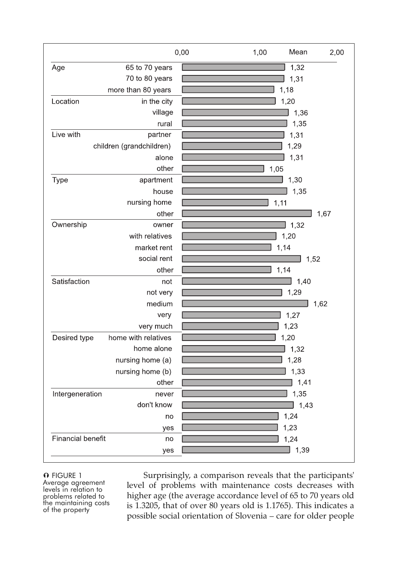

#### **O** FIGURE 1

Average agreement<br>levels in relation to problems related to<br>the maintaining costs<br>of the property

Surprisingly, a comparison reveals that the participants' level of problems with maintenance costs decreases with higher age (the average accordance level of 65 to 70 years old is 1.3205, that of over 80 years old is 1.1765). This indicates a possible social orientation of Slovenia – care for older people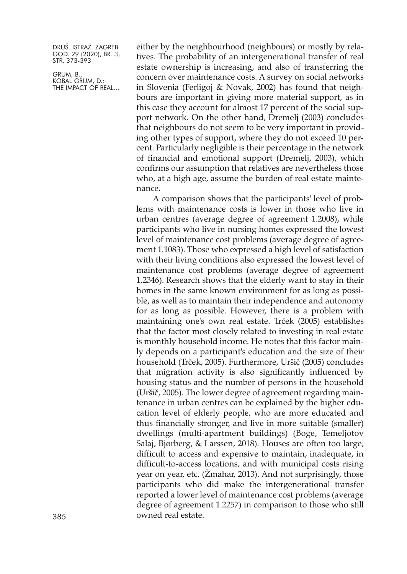GRUM, B., KOBAL GRUM, D.: THE IMPACT OF REAL...

either by the neighbourhood (neighbours) or mostly by relatives. The probability of an intergenerational transfer of real estate ownership is increasing, and also of transferring the concern over maintenance costs. A survey on social networks in Slovenia (Ferligoj & Novak, 2002) has found that neighbours are important in giving more material support, as in this case they account for almost 17 percent of the social support network. On the other hand, Dremelj (2003) concludes that neighbours do not seem to be very important in providing other types of support, where they do not exceed 10 percent. Particularly negligible is their percentage in the network of financial and emotional support (Dremelj, 2003), which confirms our assumption that relatives are nevertheless those who, at a high age, assume the burden of real estate maintenance.

A comparison shows that the participants' level of problems with maintenance costs is lower in those who live in urban centres (average degree of agreement 1.2008), while participants who live in nursing homes expressed the lowest level of maintenance cost problems (average degree of agreement 1.1083). Those who expressed a high level of satisfaction with their living conditions also expressed the lowest level of maintenance cost problems (average degree of agreement 1.2346). Research shows that the elderly want to stay in their homes in the same known environment for as long as possible, as well as to maintain their independence and autonomy for as long as possible. However, there is a problem with maintaining one's own real estate. Trček (2005) establishes that the factor most closely related to investing in real estate is monthly household income. He notes that this factor mainly depends on a participant's education and the size of their household (Trček, 2005). Furthermore, Uršič (2005) concludes that migration activity is also significantly influenced by housing status and the number of persons in the household (Uršič, 2005). The lower degree of agreement regarding maintenance in urban centres can be explained by the higher education level of elderly people, who are more educated and thus financially stronger, and live in more suitable (smaller) dwellings (multi-apartment buildings) (Boge, Temeljotov Salaj, Bjørberg, & Larssen, 2018). Houses are often too large, difficult to access and expensive to maintain, inadequate, in difficult-to-access locations, and with municipal costs rising year on year, etc. (Žmahar, 2013). And not surprisingly, those participants who did make the intergenerational transfer reported a lower level of maintenance cost problems (average degree of agreement 1.2257) in comparison to those who still 385 owned real estate.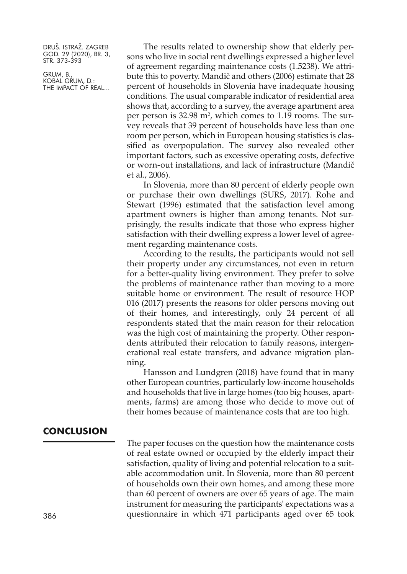GRUM, B., KOBAL GRUM, D.: THE IMPACT OF REAL...

The results related to ownership show that elderly persons who live in social rent dwellings expressed a higher level of agreement regarding maintenance costs (1.5238). We attribute this to poverty. Mandič and others (2006) estimate that 28 percent of households in Slovenia have inadequate housing conditions. The usual comparable indicator of residential area shows that, according to a survey, the average apartment area per person is 32.98 m2 , which comes to 1.19 rooms. The survey reveals that 39 percent of households have less than one room per person, which in European housing statistics is classified as overpopulation. The survey also revealed other important factors, such as excessive operating costs, defective or worn-out installations, and lack of infrastructure (Mandič et al., 2006).

In Slovenia, more than 80 percent of elderly people own or purchase their own dwellings (SURS, 2017). Rohe and Stewart (1996) estimated that the satisfaction level among apartment owners is higher than among tenants. Not surprisingly, the results indicate that those who express higher satisfaction with their dwelling express a lower level of agreement regarding maintenance costs.

According to the results, the participants would not sell their property under any circumstances, not even in return for a better-quality living environment. They prefer to solve the problems of maintenance rather than moving to a more suitable home or environment. The result of resource HOP 016 (2017) presents the reasons for older persons moving out of their homes, and interestingly, only 24 percent of all respondents stated that the main reason for their relocation was the high cost of maintaining the property. Other respondents attributed their relocation to family reasons, intergenerational real estate transfers, and advance migration planning.

Hansson and Lundgren (2018) have found that in many other European countries, particularly low-income households and households that live in large homes (too big houses, apartments, farms) are among those who decide to move out of their homes because of maintenance costs that are too high.

# **CONCLUSION**

The paper focuses on the question how the maintenance costs of real estate owned or occupied by the elderly impact their satisfaction, quality of living and potential relocation to a suitable accommodation unit. In Slovenia, more than 80 percent of households own their own homes, and among these more than 60 percent of owners are over 65 years of age. The main instrument for measuring the participants' expectations was a 386 questionnaire in which 471 participants aged over 65 took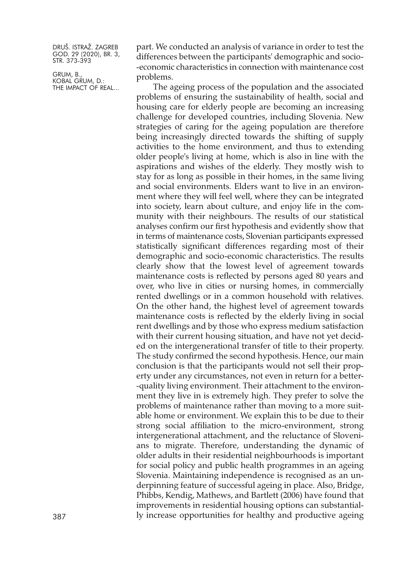GRUM, B., KOBAL GRUM, D.: THE IMPACT OF REAL... part. We conducted an analysis of variance in order to test the differences between the participants' demographic and socio- -economic characteristics in connection with maintenance cost problems.

The ageing process of the population and the associated problems of ensuring the sustainability of health, social and housing care for elderly people are becoming an increasing challenge for developed countries, including Slovenia. New strategies of caring for the ageing population are therefore being increasingly directed towards the shifting of supply activities to the home environment, and thus to extending older people's living at home, which is also in line with the aspirations and wishes of the elderly. They mostly wish to stay for as long as possible in their homes, in the same living and social environments. Elders want to live in an environment where they will feel well, where they can be integrated into society, learn about culture, and enjoy life in the community with their neighbours. The results of our statistical analyses confirm our first hypothesis and evidently show that in terms of maintenance costs, Slovenian participants expressed statistically significant differences regarding most of their demographic and socio-economic characteristics. The results clearly show that the lowest level of agreement towards maintenance costs is reflected by persons aged 80 years and over, who live in cities or nursing homes, in commercially rented dwellings or in a common household with relatives. On the other hand, the highest level of agreement towards maintenance costs is reflected by the elderly living in social rent dwellings and by those who express medium satisfaction with their current housing situation, and have not yet decided on the intergenerational transfer of title to their property. The study confirmed the second hypothesis. Hence, our main conclusion is that the participants would not sell their property under any circumstances, not even in return for a better- -quality living environment. Their attachment to the environment they live in is extremely high. They prefer to solve the problems of maintenance rather than moving to a more suitable home or environment. We explain this to be due to their strong social affiliation to the micro-environment, strong intergenerational attachment, and the reluctance of Slovenians to migrate. Therefore, understanding the dynamic of older adults in their residential neighbourhoods is important for social policy and public health programmes in an ageing Slovenia. Maintaining independence is recognised as an underpinning feature of successful ageing in place. Also, Bridge, Phibbs, Kendig, Mathews, and Bartlett (2006) have found that improvements in residential housing options can substantial-387 ly increase opportunities for healthy and productive ageing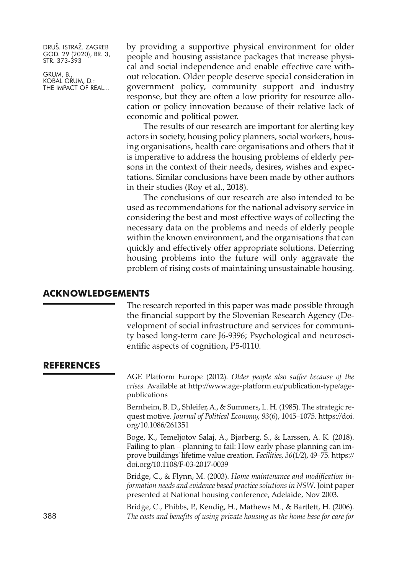GRUM, B., KOBAL GRUM, D.: THE IMPACT OF REAL... by providing a supportive physical environment for older people and housing assistance packages that increase physical and social independence and enable effective care without relocation. Older people deserve special consideration in government policy, community support and industry response, but they are often a low priority for resource allocation or policy innovation because of their relative lack of economic and political power.

The results of our research are important for alerting key actors in society, housing policy planners, social workers, housing organisations, health care organisations and others that it is imperative to address the housing problems of elderly persons in the context of their needs, desires, wishes and expectations. Similar conclusions have been made by other authors in their studies (Roy et al., 2018).

The conclusions of our research are also intended to be used as recommendations for the national advisory service in considering the best and most effective ways of collecting the necessary data on the problems and needs of elderly people within the known environment, and the organisations that can quickly and effectively offer appropriate solutions. Deferring housing problems into the future will only aggravate the problem of rising costs of maintaining unsustainable housing.

# **ACKNOWLEDGEMENTS**

The research reported in this paper was made possible through the financial support by the Slovenian Research Agency (Development of social infrastructure and services for community based long-term care J6-9396; Psychological and neuroscientific aspects of cognition, P5-0110.

# **REFERENCES**

AGE Platform Europe (2012). *Older people also suffer because of the crises.* Available at [http://www.age-platform.eu/publication-type/age](http://www.age-platform.eu/publication-type/age-publications)[publications](http://www.age-platform.eu/publication-type/age-publications)

Bernheim, B. D., Shleifer, A., & Summers, L. H. (1985). The strategic request motive. *Journal of Political Economy, 93*(6), 1045–1075. [https://doi.](https://doi.org/10.1086/261351) [org/10.1086/261351](https://doi.org/10.1086/261351)

Boge, K., Temeljotov Salaj, A., Bjørberg, S., & Larssen, A. K. (2018). Failing to plan – planning to fail: How early phase planning can improve buildings' lifetime value creation. *Facilities, 36*(1/2), 49–75. [https://](https://doi.org/10.1108/F-03-2017-0039) [doi.org/10.1108/F-03-2017-0039](https://doi.org/10.1108/F-03-2017-0039)

Bridge, C., & Flynn, M. (2003). *Home maintenance and modification information needs and evidence based practice solutions in NSW*. Joint paper presented at National housing conference, Adelaide, Nov 2003.

Bridge, C., Phibbs, P., Kendig, H., Mathews M., & Bartlett, H. (2006). 388 *The costs and benefits of using private housing as the home base for care for*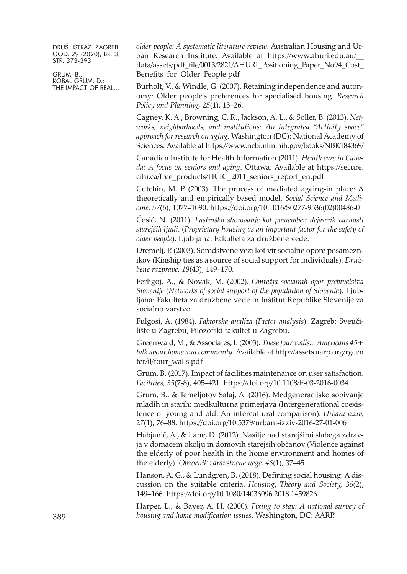GRUM, B., KOBAL GRUM, D.: THE IMPACT OF REAL... *older people: A systematic literature review*. Australian Housing and Urban Research Institute. Available at [https://www.ahuri.edu.au/\\_\\_](https://www.ahuri.edu.au/__data/assets/pdf_file/0013/2821/AHURI_Positioning_Paper_No94_Cost_Benefits_for_Older_People.pdf) [data/assets/pdf\\_file/0013/2821/AHURI\\_Positioning\\_Paper\\_No94\\_Cost\\_](https://www.ahuri.edu.au/__data/assets/pdf_file/0013/2821/AHURI_Positioning_Paper_No94_Cost_Benefits_for_Older_People.pdf) Benefits for Older People.pdf

Burholt, V., & Windle, G. (2007). Retaining independence and autonomy: Older people's preferences for specialised housing. *Research Policy and Planning, 25*(1), 13–26.

Cagney, K. A., Browning, C. R., Jackson, A. L., & Soller, B. (2013). *Networks, neighborhoods, and institutions: An integrated "Activity space" approach for research on aging*. Washington (DC): National Academy of Sciences. Available at [https://www.ncbi.nlm.nih.gov/books/NBK184369/](https://www.ncbi.nlm.nih.gov/books/NBK184369)

Canadian Institute for Health Information (2011). *Health care in Canada: A focus on seniors and aging*. Ottawa. Available at [https://secure.](https://secure.cihi.ca/free_products/HCIC_2011_seniors_report_en.pdf) [cihi.ca/free\\_products/HCIC\\_2011\\_seniors\\_report\\_en.pdf](https://secure.cihi.ca/free_products/HCIC_2011_seniors_report_en.pdf)

Cutchin, M. P. (2003). The process of mediated ageing-in place: A theoretically and empirically based model. *Social Science and Medicine, 57*(6), 1077–1090. [https://doi.org/10.1016/S0277-9536\(02\)00486-0](https://doi.org/10.1016/S0277-9536(02)00486-0)

Ćosić, N. (2011). *Lastniško stanovanje kot pomemben dejavnik varnosti starejših ljudi*. (*Proprietary housing as an important factor for the safety of older people*). Ljubljana: Fakulteta za družbene vede.

Dremelj, P. (2003). Sorodstvene vezi kot vir socialne opore posameznikov (Kinship ties as a source of social support for individuals). *Družbene razprave, 19*(43), 149–170.

Ferligoj, A., & Novak, M. (2002). *Omrežja socialnih opor prebivalstva Slovenije* (*Networks of social support of the population of Slovenia*). Ljubljana: Fakulteta za družbene vede in Inštitut Republike Slovenije za socialno varstvo.

Fulgosi, A. (1984). *Faktorska analiza* (*Factor analysis*). Zagreb: Sveučilište u Zagrebu, Filozofski fakultet u Zagrebu.

Greenwald, M., & Associates, I. (2003). *These four walls... Americans 45+ talk about home and community*. Available at [http://assets.aarp.org/rgcen](http://assets.aarp.org/rgcenter/il/four_walls.pdf) [ter/il/four\\_walls.pdf](http://assets.aarp.org/rgcenter/il/four_walls.pdf)

Grum, B. (2017). Impact of facilities maintenance on user satisfaction. *Facilities, 35*(7-8), 405–421. <https://doi.org/10.1108/F-03-2016-0034>

Grum, B., & Temeljotov Salaj, A. (2016). Medgeneracijsko sobivanje mladih in starih: medkulturna primerjava (Intergenerational coexistence of young and old: An intercultural comparison). *Urbani izziv, 27*(1), 76–88. <https://doi.org/10.5379/urbani-izziv-2016-27-01-006>

Habjanič, A., & Lahe, D. (2012). Nasilje nad starejšimi slabega zdravja v domačem okolju in domovih starejših občanov (Violence against the elderly of poor health in the home environment and homes of the elderly). *Obzornik zdravstvene nege, 46*(1), 37–45.

Hanson, A. G., & Lundgren, B. (2018). Defining social housing: A discussion on the suitable criteria. *Housing*, *Theory and Society, 36(*2), 149–166. <https://doi.org/10.1080/14036096.2018.1459826>

Harper, L., & Bayer, A. H. (2000). *Fixing to stay: A national survey of* 389 *housing and home modification issues*. Washington, DC: AARP.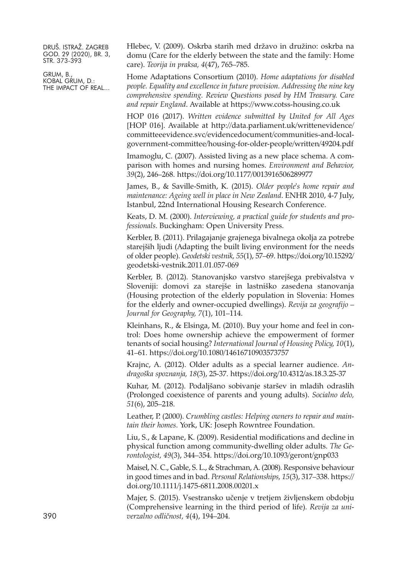GRUM, B., KOBAL GRUM, D.: THE IMPACT OF REAL... Hlebec, V. (2009). Oskrba starih med državo in družino: oskrba na domu (Care for the elderly between the state and the family: Home care). *Teorija in praksa, 4*(47), 765–785.

Home Adaptations Consortium (2010). *Home adaptations for disabled people. Equality and excellence in future provision. Addressing the nine key comprehensive spending. Review Questions posed by HM Treasury. Care and repair England*. Available at <https://www.cotss-housing.co.uk>

HOP 016 (2017). *Written evidence submitted by United for All Ages* [HOP 016]. Available at [http://data.parliament.uk/writtenevidence/](http://data.parliament.uk/writtenevidence/committeeevidence.svc/evidencedocument/communities-and-local-government-committee/housing-for-older-people/written/49204.pdf) [committeeevidence.svc/evidencedocument/communities-and-local](http://data.parliament.uk/writtenevidence/committeeevidence.svc/evidencedocument/communities-and-local-government-committee/housing-for-older-people/written/49204.pdf)[government-committee/housing-for-older-people/written/49204.pdf](http://data.parliament.uk/writtenevidence/committeeevidence.svc/evidencedocument/communities-and-local-government-committee/housing-for-older-people/written/49204.pdf)

Imamoglu, C. (2007). Assisted living as a new place schema. A comparison with homes and nursing homes. *Environment and Behavior, 39*(2), 246–268. <https://doi.org/10.1177/0013916506289977>

James, B., & Saville-Smith, K. (2015). *Older people's home repair and maintenance: Ageing well in place in New Zealand*. ENHR 2010, 4-7 July, Istanbul, 22nd International Housing Research Conference.

Keats, D. M. (2000). *Interviewing, a practical guide for students and professionals*. Buckingham: Open University Press.

Kerbler, B. (2011). Prilagajanje grajenega bivalnega okolja za potrebe starejših ljudi (Adapting the built living environment for the needs of older people). *Geodetski vestnik, 55*(1), 57–69. [https://doi.org/10.15292/](https://doi.org/10.15292/geodetski-vestnik.2011.01.057-069) [geodetski-vestnik.2011.01.057-069](https://doi.org/10.15292/geodetski-vestnik.2011.01.057-069)

Kerbler, B. (2012). Stanovanjsko varstvo starejšega prebivalstva v Sloveniji: domovi za starejše in lastniško zasedena stanovanja (Housing protection of the elderly population in Slovenia: Homes for the elderly and owner-occupied dwellings). *Revija za geografijo – Journal for Geography, 7*(1), 101–114.

Kleinhans, R., & Elsinga, M. (2010). Buy your home and feel in control: Does home ownership achieve the empowerment of former tenants of social housing? *International Journal of Housing Policy, 10*(1), 41–61. <https://doi.org/10.1080/14616710903573757>

Krajnc, A. (2012). Older adults as a special learner audience. *Andragoška spoznanja, 18*(3), 25-37. <https://doi.org/10.4312/as.18.3.25-37>

Kuhar, M. (2012). Podaljšano sobivanje staršev in mladih odraslih (Prolonged coexistence of parents and young adults). *Socialno delo, 51*(6), 205–218.

Leather, P. (2000). *Crumbling castles: Helping owners to repair and maintain their homes*. York, UK: Joseph Rowntree Foundation.

Liu, S., & Lapane, K. (2009). Residential modifications and decline in physical function among community-dwelling older adults. *The Gerontologist, 49*(3), 344–354. <https://doi.org/10.1093/geront/gnp033>

Maisel, N. C., Gable, S. L., & Strachman, A. (2008). Responsive behaviour in good times and in bad. *Personal Relationships, 15*(3), 317–338. [https://](https://doi.org/10.1111/j.1475-6811.2008.00201.x) [doi.org/10.1111/j.1475-6811.2008.00201.x](https://doi.org/10.1111/j.1475-6811.2008.00201.x)

Majer, S. (2015). Vsestransko učenje v tretjem življenskem obdobju (Comprehensive learning in the third period of life). *Revija za uni-*390 *verzalno odličnost, 4*(4), 194–204.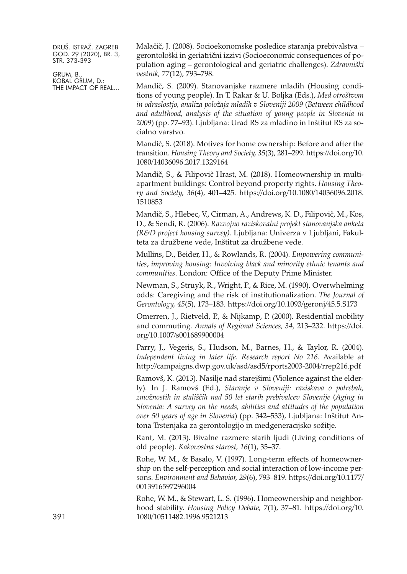GRUM, B., KOBAL GRUM, D.: THE IMPACT OF REAL... Malačič, J. (2008). Socioekonomske posledice staranja prebivalstva – gerontološki in geriatrični izzivi (Socioeconomic consequences of population aging – gerontological and geriatric challenges). *Zdravniški vestnik, 77*(12), 793–798.

Mandič, S. (2009). Stanovanjske razmere mladih (Housing conditions of young people). In T. Rakar & U. Boljka (Eds.), *Med otroštvom in odraslostjo, analiza položaja mladih v Sloveniji 2009* (*Between childhood and adulthood, analysis of the situation of young people in Slovenia in 2009*) (pp. 77–93). Ljubljana: Urad RS za mladino in Inštitut RS za socialno varstvo.

Mandič, S. (2018). Motives for home ownership: Before and after the transition. *Housing Theory and Society, 35*(3), 281–299. [https://doi.org/10.](https://doi.org/10.1080/14036096.2017.1329164) [1080/14036096.2017.1329164](https://doi.org/10.1080/14036096.2017.1329164)

Mandič, S., & Filipovič Hrast, M. (2018). Homeownership in multiapartment buildings: Control beyond property rights. *Housing Theory and Society, 36*(4), 401–425. [https://doi.org/10.1080/14036096.2018.](https://doi.org/10.1080/14036096.2018.1510853) [1510853](https://doi.org/10.1080/14036096.2018.1510853)

Mandič, S., Hlebec, V., Cirman, A., Andrews, K. D., Filipovič, M., Kos, D., & Sendi, R. (2006). *Razvojno raziskovalni projekt stanovanjska anketa (R&D project housing survey)*. Ljubljana: Univerza v Ljubljani, Fakulteta za družbene vede, Inštitut za družbene vede.

Mullins, D., Beider, H., & Rowlands, R. (2004). *Empowering communities*, *improving housing: Involving black and minority ethnic tenants and communities*. London: Office of the Deputy Prime Minister.

Newman, S., Struyk, R., Wright, P., & Rice, M. (1990). Overwhelming odds: Caregiving and the risk of institutionalization. *The Journal of Gerontology, 45*(5), 173–183. <https://doi.org/10.1093/geronj/45.5.S173>

Omerren, J., Rietveld, P., & Nijkamp, P. (2000). Residential mobility and commuting. *Annals of Regional Sciences, 34,* 213–232. [https://doi.](https://doi.org/10.1007/s001689900004) [org/10.1007/s001689900004](https://doi.org/10.1007/s001689900004)

Parry, J., Vegeris, S., Hudson, M., Barnes, H., & Taylor, R. (2004). *Independent living in later life. Research report No 216.* Available at <http://campaigns.dwp.gov.uk/asd/asd5/rports2003-2004/rrep216.pdf>

Ramovš, K. (2013). Nasilje nad starejšimi (Violence against the elderly). In J. Ramovš (Ed.), *Staranje v Sloveniji: raziskava o potrebah, zmožnostih in stališčih nad 50 let starih prebivalcev Slovenije* (*Aging in Slovenia: A survey on the needs, abilities and attitudes of the population over 50 years of age in Slovenia*) (pp. 342–533), Ljubljana: Inštitut Antona Trstenjaka za gerontologijo in medgeneracijsko sožitje.

Rant, M. (2013). Bivalne razmere starih ljudi (Living conditions of old people). *Kakovostna starost, 16*(1), 35–37.

Rohe, W. M., & Basalo, V. (1997). Long-term effects of homeownership on the self-perception and social interaction of low-income persons. *Environment and Behavior, 29*(6), 793–819. [https://doi.org/10.1177/](https://doi.org/10.1177/0013916597296004) [0013916597296004](https://doi.org/10.1177/0013916597296004)

Rohe, W. M., & Stewart, L. S. (1996). Homeownership and neighborhood stability. *Housing Policy Debate, 7*(1), 37–81. [https://doi.org/10.](https://doi.org/10.1080/10511482.1996.9521213) 391 [1080/10511482.1996.9521213](https://doi.org/10.1080/10511482.1996.9521213)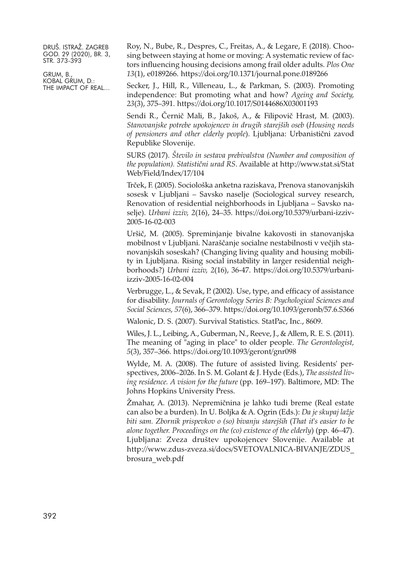GRUM, B., KOBAL GRUM, D.: THE IMPACT OF REAL... Roy, N., Bube, R., Despres, C., Freitas, A., & Legare, F. (2018). Choosing between staying at home or moving: A systematic review of factors influencing housing decisions among frail older adults. *Plos One 13*(1), e0189266. <https://doi.org/10.1371/journal.pone.0189266>

Secker, J., Hill, R., Villeneau, L., & Parkman, S. (2003). Promoting independence: But promoting what and how? *Ageing and Society, 23*(3), 375–391. <https://doi.org/10.1017/S0144686X03001193>

Sendi R., Černič Mali, B., Jakoš, A., & Filipovič Hrast, M. (2003). *Stanovanjske potrebe upokojencev in drugih starejših oseb* (*Housing needs of pensioners and other elderly people*). Ljubljana: Urbanistični zavod Republike Slovenije.

SURS (2017). *Število in sestava prebivalstva (Number and composition of the population). Statistični urad RS*. Available at [http://www.stat.si/Stat](http://www.stat.si/StatWeb/Field/Index/17/104) [Web/Field/Index/17/104](http://www.stat.si/StatWeb/Field/Index/17/104)

Trček, F. (2005). Sociološka anketna raziskava, Prenova stanovanjskih sosesk v Ljubljani – Savsko naselje (Sociological survey research, Renovation of residential neighborhoods in Ljubljana – Savsko naselje). *Urbani izziv, 2*(16), 24–35. [https://doi.org/10.5379/urbani-izziv-](https://doi.org/10.5379/urbani-izziv-2005-16-02-003)[2005-16-02-003](https://doi.org/10.5379/urbani-izziv-2005-16-02-003)

Uršič, M. (2005). Spreminjanje bivalne kakovosti in stanovanjska mobilnost v Ljubljani. Naraščanje socialne nestabilnosti v večjih stanovanjskih soseskah? (Changing living quality and housing mobility in Ljubljana. Rising social instability in larger residential neighborhoods?) *Urbani izziv, 2*(16), 36-47. [https://doi.org/10.5379/urbani](https://doi.org/10.5379/urbani-izziv-2005-16-02-004)[izziv-2005-16-02-004](https://doi.org/10.5379/urbani-izziv-2005-16-02-004)

Verbrugge, L., & Sevak, P. (2002). Use, type, and efficacy of assistance for disability. *Journals of Gerontology Series B: Psychological Sciences and Social Sciences, 57*(6), 366–379. <https://doi.org/10.1093/geronb/57.6.S366>

Walonic, D. S. (2007). Survival Statistics. StatPac, Inc., 8609.

Wiles, J. L., Leibing, A., Guberman, N., Reeve, J., & Allem, R. E. S. (2011). The meaning of "aging in place" to older people. *The Gerontologist, 5*(3), 357–366. <https://doi.org/10.1093/geront/gnr098>

Wylde, M. A. (2008). The future of assisted living. Residents' perspectives, 2006–2026. In S. M. Golant & J. Hyde (Eds.), *The assisted living residence. A vision for the future* (pp. 169–197). Baltimore, MD: The Johns Hopkins University Press.

Žmahar, A. (2013). Nepremičnina je lahko tudi breme (Real estate can also be a burden). In U. Boljka & A. Ogrin (Eds.): *Da je skupaj lažje biti sam. Zbornik prispevkov o (so) bivanju starejših* (*That it's easier to be alone together. Proceedings on the (co) existence of the elderly*) (pp. 46–47). Ljubljana: Zveza društev upokojencev Slovenije. Available at [http://www.zdus-zveza.si/docs/SVETOVALNICA-BIVANJE/ZDUS\\_](http://www.zdus-zveza.si/docs/SVETOVALNICA-BIVANJE/ZDUS_brosura_web.pdf) [brosura\\_web.pdf](http://www.zdus-zveza.si/docs/SVETOVALNICA-BIVANJE/ZDUS_brosura_web.pdf)